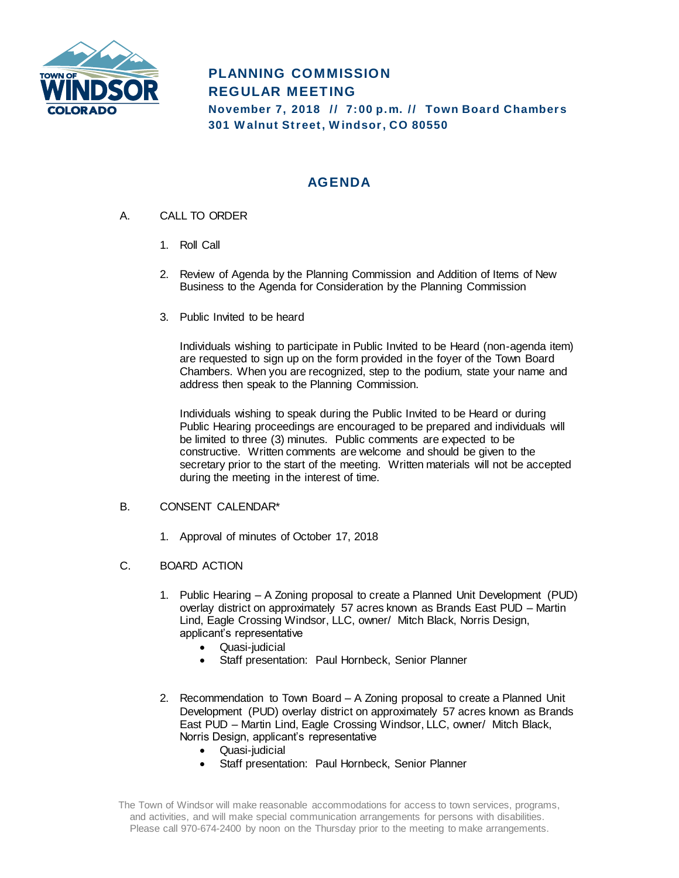

# **PLANNING COMMISSION REGULAR MEETING November 7, 2018 // 7:00 p.m. // Town Board Chambers**

**301 W alnut Str eet, W indsor , CO 80550**

## **AGENDA**

- A. CALL TO ORDER
	- 1. Roll Call
	- 2. Review of Agenda by the Planning Commission and Addition of Items of New Business to the Agenda for Consideration by the Planning Commission
	- 3. Public Invited to be heard

Individuals wishing to participate in Public Invited to be Heard (non-agenda item) are requested to sign up on the form provided in the foyer of the Town Board Chambers. When you are recognized, step to the podium, state your name and address then speak to the Planning Commission.

Individuals wishing to speak during the Public Invited to be Heard or during Public Hearing proceedings are encouraged to be prepared and individuals will be limited to three (3) minutes. Public comments are expected to be constructive. Written comments are welcome and should be given to the secretary prior to the start of the meeting. Written materials will not be accepted during the meeting in the interest of time.

### B. CONSENT CALENDAR\*

- 1. Approval of minutes of October 17, 2018
- C. BOARD ACTION
	- 1. Public Hearing A Zoning proposal to create a Planned Unit Development (PUD) overlay district on approximately 57 acres known as Brands East PUD – Martin Lind, Eagle Crossing Windsor, LLC, owner/ Mitch Black, Norris Design, applicant's representative
		- Quasi-judicial
		- Staff presentation: Paul Hornbeck, Senior Planner
	- 2. Recommendation to Town Board A Zoning proposal to create a Planned Unit Development (PUD) overlay district on approximately 57 acres known as Brands East PUD – Martin Lind, Eagle Crossing Windsor, LLC, owner/ Mitch Black, Norris Design, applicant's representative
		- Quasi-judicial
		- Staff presentation: Paul Hornbeck, Senior Planner

The Town of Windsor will make reasonable accommodations for access to town services, programs, and activities, and will make special communication arrangements for persons with disabilities. Please call 970-674-2400 by noon on the Thursday prior to the meeting to make arrangements.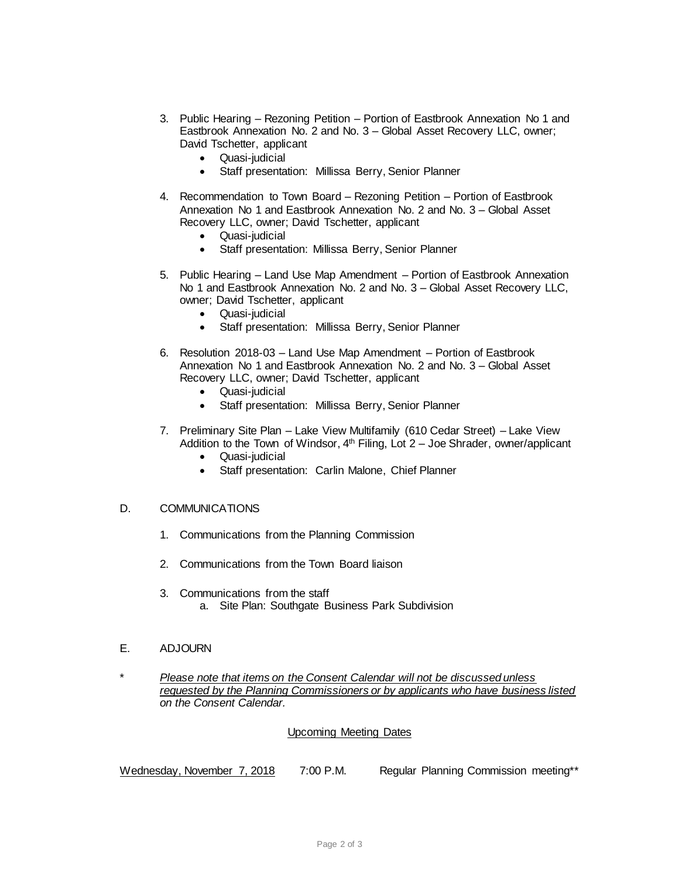- 3. Public Hearing Rezoning Petition Portion of Eastbrook Annexation No 1 and Eastbrook Annexation No. 2 and No. 3 – Global Asset Recovery LLC, owner; David Tschetter, applicant
	- Quasi-judicial
	- Staff presentation: Millissa Berry, Senior Planner
- 4. Recommendation to Town Board Rezoning Petition Portion of Eastbrook Annexation No 1 and Eastbrook Annexation No. 2 and No. 3 – Global Asset Recovery LLC, owner; David Tschetter, applicant
	- Quasi-judicial
	- Staff presentation: Millissa Berry, Senior Planner
- 5. Public Hearing Land Use Map Amendment Portion of Eastbrook Annexation No 1 and Eastbrook Annexation No. 2 and No. 3 – Global Asset Recovery LLC, owner; David Tschetter, applicant
	- Quasi-judicial
	- Staff presentation: Millissa Berry, Senior Planner
- 6. Resolution 2018-03 Land Use Map Amendment Portion of Eastbrook Annexation No 1 and Eastbrook Annexation No. 2 and No. 3 – Global Asset Recovery LLC, owner; David Tschetter, applicant
	- Quasi-judicial
	- Staff presentation: Millissa Berry, Senior Planner
- 7. Preliminary Site Plan Lake View Multifamily (610 Cedar Street) Lake View Addition to the Town of Windsor, 4<sup>th</sup> Filing, Lot 2 – Joe Shrader, owner/applicant
	- Quasi-judicial
	- Staff presentation: Carlin Malone, Chief Planner

#### D. COMMUNICATIONS

- 1. Communications from the Planning Commission
- 2. Communications from the Town Board liaison
- 3. Communications from the staff a. Site Plan: Southgate Business Park Subdivision

#### E. ADJOURN

\* *Please note that items on the Consent Calendar will not be discussed unless requested by the Planning Commissioners or by applicants who have business listed on the Consent Calendar.*

#### Upcoming Meeting Dates

Wednesday, November 7, 2018 7:00 P.M. Regular Planning Commission meeting\*\*